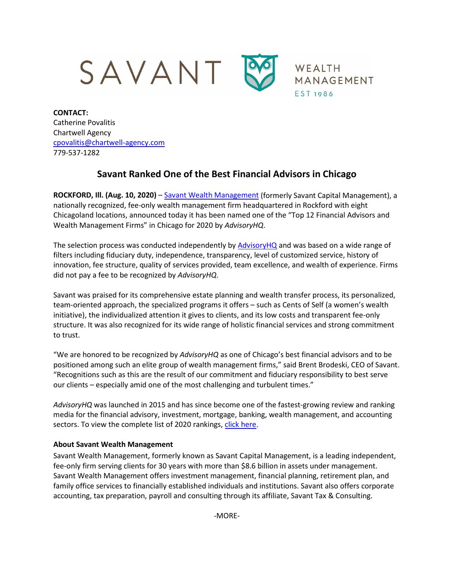

**CONTACT:** Catherine Povalitis Chartwell Agency [cpovalitis@chartwell-agency.com](mailto:cpovalitis@chartwell-agency.com) 779-537-1282

## **Savant Ranked One of the Best Financial Advisors in Chicago**

**ROCKFORD, Ill. (Aug. 10, 2020)** – [Savant Wealth](http://www.savantwealth.com/) Management (formerly Savant Capital Management), a nationally recognized, fee-only wealth management firm headquartered in Rockford with eight Chicagoland locations, announced today it has been named one of the "Top 12 Financial Advisors and Wealth Management Firms" in Chicago for 2020 by *AdvisoryHQ*.

The selection process was conducted independently by [AdvisoryHQ](https://www.advisoryhq.com/) and was based on a wide range of filters including fiduciary duty, independence, transparency, level of customized service, history of innovation, fee structure, quality of services provided, team excellence, and wealth of experience. Firms did not pay a fee to be recognized by *AdvisoryHQ*.

Savant was praised for its comprehensive estate planning and wealth transfer process, its personalized, team-oriented approach, the specialized programs it offers – such as Cents of Self (a women's wealth initiative), the individualized attention it gives to clients, and its low costs and transparent fee-only structure. It was also recognized for its wide range of holistic financial services and strong commitment to trust.

"We are honored to be recognized by *AdvisoryHQ* as one of Chicago's best financial advisors and to be positioned among such an elite group of wealth management firms," said Brent Brodeski, CEO of Savant. "Recognitions such as this are the result of our commitment and fiduciary responsibility to best serve our clients – especially amid one of the most challenging and turbulent times."

*AdvisoryHQ* was launched in 2015 and has since become one of the fastest-growing review and ranking media for the financial advisory, investment, mortgage, banking, wealth management, and accounting sectors. To view the complete list of 2020 rankings, [click here.](https://www.advisoryhq.com/articles/top-financial-advisor-chicago-reviews-of-chicago-best-advisors-planners/)

## **About Savant Wealth Management**

Savant Wealth Management, formerly known as Savant Capital Management, is a leading independent, fee-only firm serving clients for 30 years with more than \$8.6 billion in assets under management. Savant Wealth Management offers investment management, financial planning, retirement plan, and family office services to financially established individuals and institutions. Savant also offers corporate accounting, tax preparation, payroll and consulting through its affiliate, Savant Tax & Consulting.

-MORE-